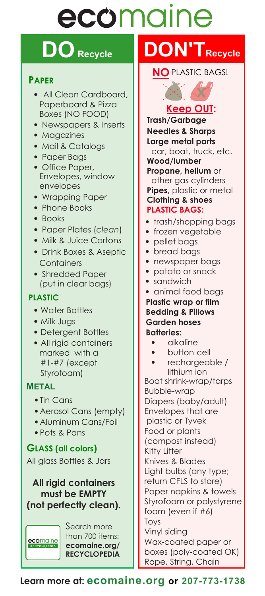# ecomaine

# **DO** Recycle **DON'T** Recycle

#### **PAPER**

- **•** All Clean Cardboard, Paperboard & Pizza Boxes (NO FOOD)
- **•** Newspapers & Inserts
- **•** Magazines
- **•** Mail & Catalogs
- **•** Paper Bags
- **•** Office Paper, Envelopes, window envelopes
- **•** Wrapping Paper
- **•** Phone Books
- **•** Books
- **•** Paper Plates (*clean*)
- **•** Milk & Juice Cartons
- **•** Drink Boxes & Aseptic **Containers**
- **•** Shredded Paper (put in clear bags)

#### **PLASTIC**

- **•** Water Bottles
- **•** Milk Jugs
- **•** Detergent Bottles
- **•** All rigid containers marked with a #1-#7 (except Styrofoam)

#### **METAL**

- **•** Tin Cans
- **•** Aerosol Cans (empty)
- **•** Aluminum Cans/Foil
- **•** Pots & Pans

#### **GLASS (all colors)**

All glass Bottles & Jars

#### **All rigid containers must be EMPTY (not perfectly clean).**

ecomaine LOPEDIA

Search more than 700 items: **ecomaine.org/ RECYCLOPEDIA**

#### **NO** PLASTIC BAGS!



**Keep OUT: Trash/Garbage Needles & Sharps Large metal parts** 

car, boat, truck, etc. **Wood/lumber**

#### **Propane, helium** or other gas cylinders **Pipes,** plastic or metal **Clothing & shoes**

#### **PLASTIC BAGS:**

- **•** trash/shopping bags
- **•** frozen vegetable
- **•** pellet bags
- **•** bread bags
- **•** newspaper bags
- **•** potato or snack
- **•** sandwich
- **•** animal food bags

**Plastic wrap or film Bedding & Pillows Garden hoses Batteries:**

- **•** alkaline
- **•** button-cell
- **•** rechargeable / lithium ion

Boat shrink-wrap/tarps Bubble-wrap Diapers (baby/adult) Envelopes that are plastic or Tyvek Food or plants (compost instead) Kitty Litter Knives & Blades Light bulbs (any type; return CFLS to store) Paper napkins & towels Styrofoam or polystyrene foam (even if #6) Toys Vinyl siding Wax-coated paper or boxes (poly-coated OK)

Rope, String, Chain

**Learn more at: ecomaine.org or 207-773-1738**